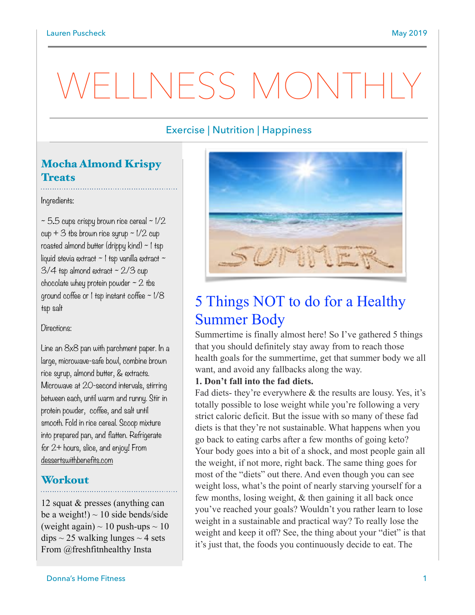# WELLNESS MONTH

## Exercise | Nutrition | Happiness

## Mocha Almond Krispy **Treats**

Ingredients:

~ 5**.**5 cups crispy brown rice cereal ~ 1/2 cup  $+3$  tbs brown rice syrup  $\sim$  1/2 cup roasted almond butter (drippy kind) ~ 1 tsp liquid stevia extract  $\sim$  1 tsp vanilla extract  $\sim$  $3/4$  tsp almond extract  $\sim$  2/3 cup chocolate whey protein powder  $\sim$  2 tbs ground coffee or 1 tsp instant coffee ~ 1/8 tsp salt

#### Directions:

Line an 8x8 pan with parchment paper. In a large, microwave-safe bowl, combine brown rice syrup, almond butter, & extracts. Microwave at 20-second intervals, stirring between each, until warm and runny. Stir in protein powder, coffee, and salt until smooth. Fold in rice cereal. Scoop mixture into prepared pan, and flatten. Refrigerate for 2+ hours, slice, and enjoy! From [dessertswithbenefits.com](http://dessertswithbenefits.com)

## **Workout**

12 squat & presses (anything can be a weight!)  $\sim$  10 side bends/side (weight again)  $\sim 10$  push-ups  $\sim 10$  $dips \sim 25$  walking lunges  $\sim 4$  sets From @freshfitnhealthy Insta



## 5 Things NOT to do for a Healthy Summer Body

Summertime is finally almost here! So I've gathered 5 things that you should definitely stay away from to reach those health goals for the summertime, get that summer body we all want, and avoid any fallbacks along the way.

### **1. Don't fall into the fad diets.**

Fad diets- they're everywhere & the results are lousy. Yes, it's totally possible to lose weight while you're following a very strict caloric deficit. But the issue with so many of these fad diets is that they're not sustainable. What happens when you go back to eating carbs after a few months of going keto? Your body goes into a bit of a shock, and most people gain all the weight, if not more, right back. The same thing goes for most of the "diets" out there. And even though you can see weight loss, what's the point of nearly starving yourself for a few months, losing weight, & then gaining it all back once you've reached your goals? Wouldn't you rather learn to lose weight in a sustainable and practical way? To really lose the weight and keep it off? See, the thing about your "diet" is that it's just that, the foods you continuously decide to eat. The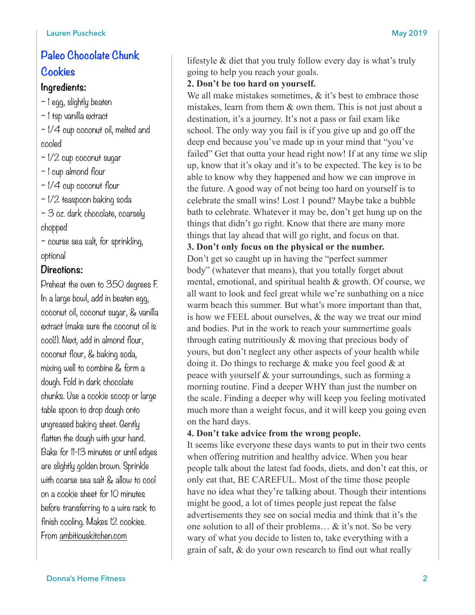## **Paleo Chocolate Chunk Cookies**

## **Ingredients:**

- $\sim$  1 egg, slightly beaten
- ~ 1 tsp vanilla extract
- ~ 1/4 cup coconut oil, melted and cooled
- $\sim$  1/2 cup coconut sugar
- ~ 1 cup almond flour
- $\sim$  1/4 cup coconut flour
- ~ 1/2 teaspoon baking soda
- ~ 3 oz. dark chocolate, coarsely chopped
- $\sim$  course sea salt, for sprinkling, optional

## **Directions:**

Preheat the oven to 350 degrees F. In a large bowl, add in beaten egg, coconut oil, coconut sugar, & vanilla extract (make sure the coconut oil is cool!). Next, add in almond flour, coconut flour, & baking soda, mixing well to combine & form a dough. Fold in dark chocolate chunks. Use a cookie scoop or large table spoon to drop dough onto ungreased baking sheet. Gently flatten the dough with your hand. Bake for 11-13 minutes or until edges are slightly golden brown. Sprinkle with coarse sea salt & allow to cool on a cookie sheet for 10 minutes before transferring to a wire rack to finish cooling. Makes 12 cookies. From [ambitiouskitchen.com](http://ambitiouskitchen.com)

lifestyle & diet that you truly follow every day is what's truly going to help you reach your goals.

## **2. Don't be too hard on yourself.**

We all make mistakes sometimes,  $\&$  it's best to embrace those mistakes, learn from them & own them. This is not just about a destination, it's a journey. It's not a pass or fail exam like school. The only way you fail is if you give up and go off the deep end because you've made up in your mind that "you've failed" Get that outta your head right now! If at any time we slip up, know that it's okay and it's to be expected. The key is to be able to know why they happened and how we can improve in the future. A good way of not being too hard on yourself is to celebrate the small wins! Lost 1 pound? Maybe take a bubble bath to celebrate. Whatever it may be, don't get hung up on the things that didn't go right. Know that there are many more things that lay ahead that will go right, and focus on that.

## **3. Don't only focus on the physical or the number.**

Don't get so caught up in having the "perfect summer body" (whatever that means), that you totally forget about mental, emotional, and spiritual health & growth. Of course, we all want to look and feel great while we're sunbathing on a nice warm beach this summer. But what's more important than that, is how we FEEL about ourselves, & the way we treat our mind and bodies. Put in the work to reach your summertime goals through eating nutritiously & moving that precious body of yours, but don't neglect any other aspects of your health while doing it. Do things to recharge & make you feel good & at peace with yourself & your surroundings, such as forming a morning routine. Find a deeper WHY than just the number on the scale. Finding a deeper why will keep you feeling motivated much more than a weight focus, and it will keep you going even on the hard days.

#### **4. Don't take advice from the wrong people.**

It seems like everyone these days wants to put in their two cents when offering nutrition and healthy advice. When you hear people talk about the latest fad foods, diets, and don't eat this, or only eat that, BE CAREFUL. Most of the time those people have no idea what they're talking about. Though their intentions might be good, a lot of times people just repeat the false advertisements they see on social media and think that it's the one solution to all of their problems… & it's not. So be very wary of what you decide to listen to, take everything with a grain of salt, & do your own research to find out what really